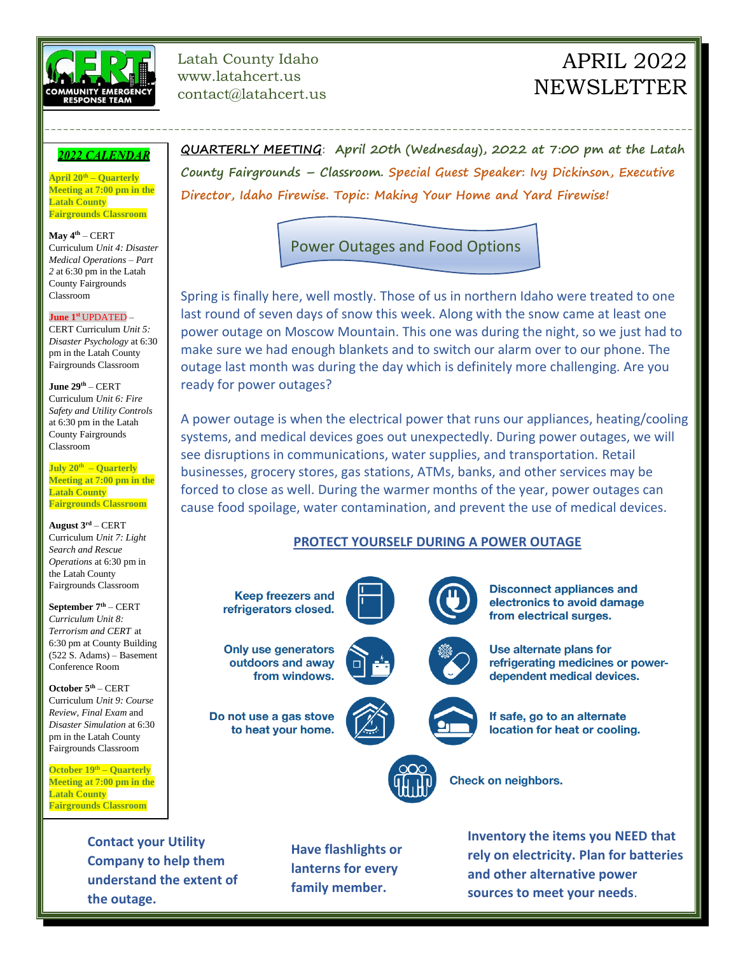

Latah County Idaho www.latahcert.us contact@latahcert.us

# APRIL 2022 **NEWSLETTER**

### **2022 CALENDAR**

**April 20th – Quarterly Meeting at 7:00 pm in the Latah County Fairgrounds Classroom**

**May 4th** – CERT Curriculum *Unit 4: Disaster Medical Operations – Part 2* at 6:30 pm in the Latah County Fairgrounds Classroom

#### **June 1 st** UPDATED –

CERT Curriculum *Unit 5: Disaster Psychology* at 6:30 pm in the Latah County Fairgrounds Classroom

**June 29th** – CERT Curriculum *Unit 6: Fire Safety and Utility Controls* at 6:30 pm in the Latah County Fairgrounds Classroom

**July 20th – Quarterly Meeting at 7:00 pm in the Latah County Fairgrounds Classroom**

**August 3rd** – CERT Curriculum *Unit 7: Light Search and Rescue Operations* at 6:30 pm in the Latah County Fairgrounds Classroom

**September 7th** – CERT *Curriculum Unit 8: Terrorism and CERT* at 6:30 pm at County Building (522 S. Adams) – Basement Conference Room

**October 5th** – CERT Curriculum *Unit 9: Course Review, Final Exam* and *Disaster Simulation* at 6:30 pm in the Latah County Fairgrounds Classroom

**October 19th – Quarterly Meeting at 7:00 pm in the Latah County Fairgrounds Classroom**

**QUARTERLY MEETING**: **April 20th (Wednesday), 2022 at 7:00 pm at the Latah County Fairgrounds – Classroom. Special Guest Speaker: Ivy Dickinson, Executive Director, Idaho Firewise. Topic: Making Your Home and Yard Firewise!**

# Power Outages and Food Options

---------------------------------------------------------------------------------------------------------

Spring is finally here, well mostly. Those of us in northern Idaho were treated to one last round of seven days of snow this week. Along with the snow came at least one power outage on Moscow Mountain. This one was during the night, so we just had to make sure we had enough blankets and to switch our alarm over to our phone. The outage last month was during the day which is definitely more challenging. Are you ready for power outages?

A power outage is when the electrical power that runs our appliances, heating/cooling systems, and medical devices goes out unexpectedly. During power outages, we will see disruptions in communications, water supplies, and transportation. Retail businesses, grocery stores, gas stations, ATMs, banks, and other services may be forced to close as well. During the warmer months of the year, power outages can cause food spoilage, water contamination, and prevent the use of medical devices.

## **PROTECT YOURSELF DURING A POWER OUTAGE**



**Contact your Utility Company to help them understand the extent of the outage.**

**Have flashlights or lanterns for every family member.**

**Inventory the items you NEED that rely on electricity. Plan for batteries and other alternative power sources to meet your needs**.